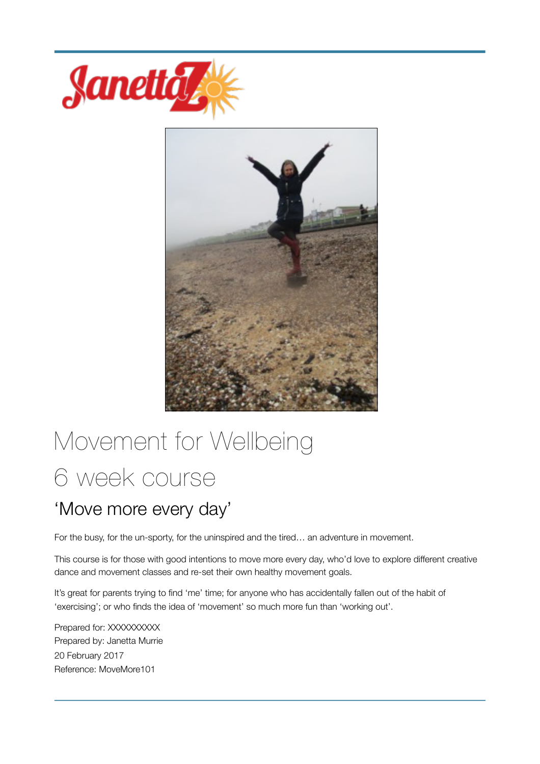



# Movement for Wellbeing 6 week course

# 'Move more every day'

For the busy, for the un-sporty, for the uninspired and the tired… an adventure in movement.

This course is for those with good intentions to move more every day, who'd love to explore different creative dance and movement classes and re-set their own healthy movement goals.

It's great for parents trying to find 'me' time; for anyone who has accidentally fallen out of the habit of 'exercising'; or who finds the idea of 'movement' so much more fun than 'working out'.

Prepared for: XXXXXXXXX Prepared by: Janetta Murrie 20 February 2017 Reference: MoveMore101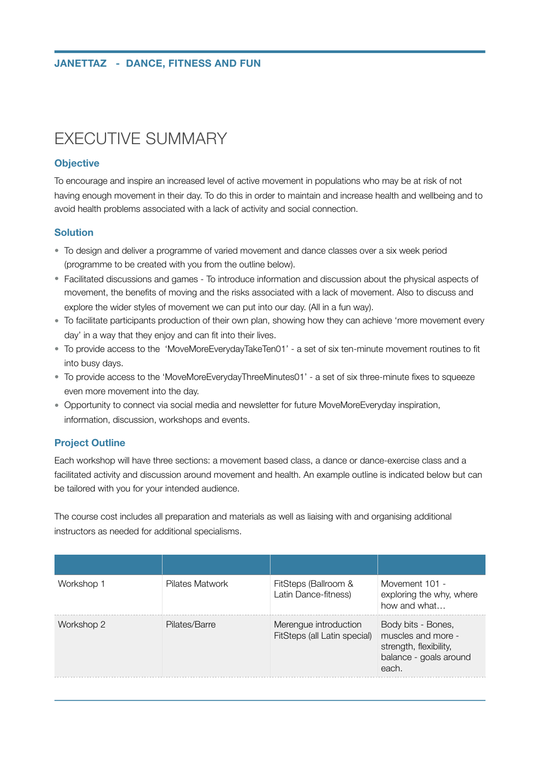# EXECUTIVE SUMMARY

### **Objective**

To encourage and inspire an increased level of active movement in populations who may be at risk of not having enough movement in their day. To do this in order to maintain and increase health and wellbeing and to avoid health problems associated with a lack of activity and social connection.

### **Solution**

- To design and deliver a programme of varied movement and dance classes over a six week period (programme to be created with you from the outline below).
- Facilitated discussions and games To introduce information and discussion about the physical aspects of movement, the benefits of moving and the risks associated with a lack of movement. Also to discuss and explore the wider styles of movement we can put into our day. (All in a fun way).
- To facilitate participants production of their own plan, showing how they can achieve 'more movement every day' in a way that they enjoy and can fit into their lives.
- To provide access to the 'MoveMoreEverydayTakeTen01' a set of six ten-minute movement routines to fit into busy days.
- To provide access to the 'MoveMoreEverydayThreeMinutes01' a set of six three-minute fixes to squeeze even more movement into the day.
- Opportunity to connect via social media and newsletter for future MoveMoreEveryday inspiration, information, discussion, workshops and events.

### **Project Outline**

Each workshop will have three sections: a movement based class, a dance or dance-exercise class and a facilitated activity and discussion around movement and health. An example outline is indicated below but can be tailored with you for your intended audience.

The course cost includes all preparation and materials as well as liaising with and organising additional instructors as needed for additional specialisms.

| Workshop 1 | Pilates Matwork | FitSteps (Ballroom &<br>Latin Dance-fitness)          | Movement 101 -<br>exploring the why, where<br>how and what                                            |
|------------|-----------------|-------------------------------------------------------|-------------------------------------------------------------------------------------------------------|
| Workshop 2 | Pilates/Barre   | Merengue introduction<br>FitSteps (all Latin special) | Body bits - Bones,<br>muscles and more -<br>strength, flexibility,<br>balance - goals around<br>each. |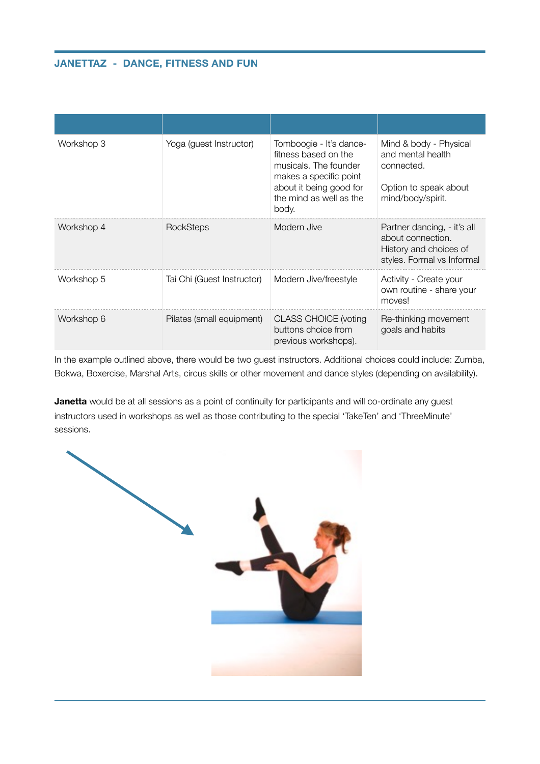### **JANETTAZ - DANCE, FITNESS AND FUN**

| Workshop 3 | Yoga (guest Instructor)    | Tomboogie - It's dance-<br>fitness based on the<br>musicals. The founder<br>makes a specific point<br>about it being good for<br>the mind as well as the<br>body. | Mind & body - Physical<br>and mental health<br>connected.<br>Option to speak about<br>mind/body/spirit.  |
|------------|----------------------------|-------------------------------------------------------------------------------------------------------------------------------------------------------------------|----------------------------------------------------------------------------------------------------------|
| Workshop 4 | RockSteps                  | Modern Jive                                                                                                                                                       | Partner dancing, - it's all<br>about connection.<br>History and choices of<br>styles. Formal vs Informal |
| Workshop 5 | Tai Chi (Guest Instructor) | Modern Jive/freestyle                                                                                                                                             | Activity - Create your<br>own routine - share your<br>moves!                                             |
| Workshop 6 | Pilates (small equipment)  | <b>CLASS CHOICE (voting</b><br>buttons choice from<br>previous workshops).                                                                                        | Re-thinking movement<br>goals and habits                                                                 |

In the example outlined above, there would be two guest instructors. Additional choices could include: Zumba, Bokwa, Boxercise, Marshal Arts, circus skills or other movement and dance styles (depending on availability).

**Janetta** would be at all sessions as a point of continuity for participants and will co-ordinate any guest instructors used in workshops as well as those contributing to the special 'TakeTen' and 'ThreeMinute' sessions.